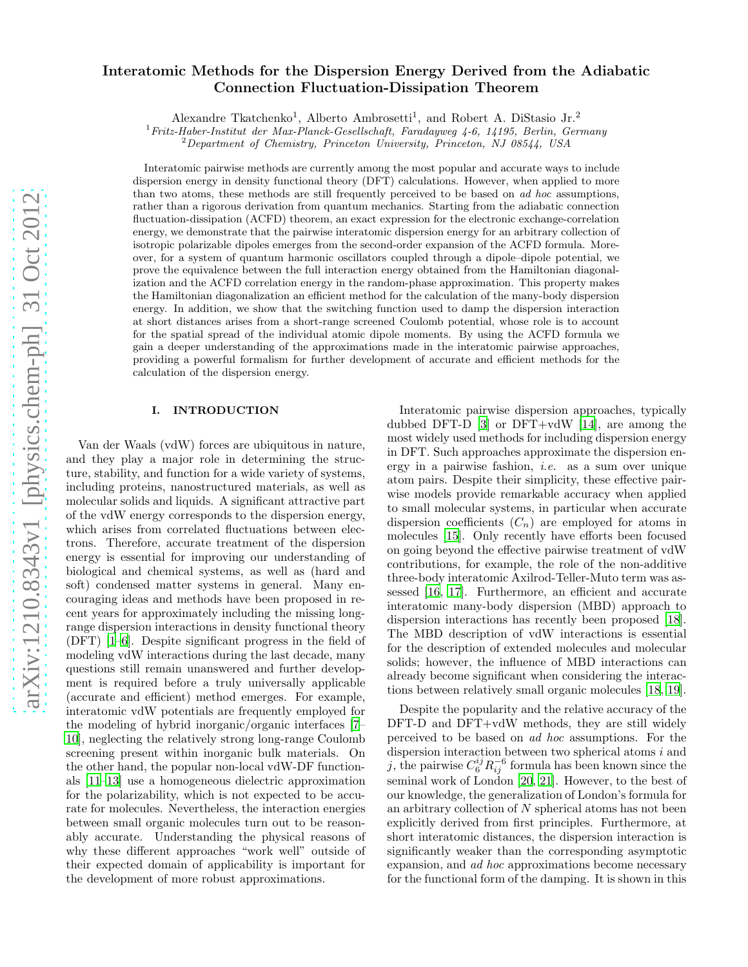# Interatomic Methods for the Dispersion Energy Derived from the Adiabatic Connection Fluctuation-Dissipation Theorem

Alexandre Tkatchenko<sup>1</sup>, Alberto Ambrosetti<sup>1</sup>, and Robert A. DiStasio Jr.<sup>2</sup>

 $1$ Fritz-Haber-Institut der Max-Planck-Gesellschaft, Faradayweg 4-6, 14195, Berlin, Germany

 $2$ Department of Chemistry, Princeton University, Princeton, NJ 08544, USA

Interatomic pairwise methods are currently among the most popular and accurate ways to include dispersion energy in density functional theory (DFT) calculations. However, when applied to more than two atoms, these methods are still frequently perceived to be based on ad hoc assumptions, rather than a rigorous derivation from quantum mechanics. Starting from the adiabatic connection fluctuation-dissipation (ACFD) theorem, an exact expression for the electronic exchange-correlation energy, we demonstrate that the pairwise interatomic dispersion energy for an arbitrary collection of isotropic polarizable dipoles emerges from the second-order expansion of the ACFD formula. Moreover, for a system of quantum harmonic oscillators coupled through a dipole–dipole potential, we prove the equivalence between the full interaction energy obtained from the Hamiltonian diagonalization and the ACFD correlation energy in the random-phase approximation. This property makes the Hamiltonian diagonalization an efficient method for the calculation of the many-body dispersion energy. In addition, we show that the switching function used to damp the dispersion interaction at short distances arises from a short-range screened Coulomb potential, whose role is to account for the spatial spread of the individual atomic dipole moments. By using the ACFD formula we gain a deeper understanding of the approximations made in the interatomic pairwise approaches, providing a powerful formalism for further development of accurate and efficient methods for the calculation of the dispersion energy.

# I. INTRODUCTION

Van der Waals (vdW) forces are ubiquitous in nature, and they play a major role in determining the structure, stability, and function for a wide variety of systems, including proteins, nanostructured materials, as well as molecular solids and liquids. A significant attractive part of the vdW energy corresponds to the dispersion energy, which arises from correlated fluctuations between electrons. Therefore, accurate treatment of the dispersion energy is essential for improving our understanding of biological and chemical systems, as well as (hard and soft) condensed matter systems in general. Many encouraging ideas and methods have been proposed in recent years for approximately including the missing longrange dispersion interactions in density functional theory (DFT) [\[1](#page-7-0)[–6\]](#page-7-1). Despite significant progress in the field of modeling vdW interactions during the last decade, many questions still remain unanswered and further development is required before a truly universally applicable (accurate and efficient) method emerges. For example, interatomic vdW potentials are frequently employed for the modeling of hybrid inorganic/organic interfaces [\[7](#page-7-2)– [10\]](#page-7-3), neglecting the relatively strong long-range Coulomb screening present within inorganic bulk materials. On the other hand, the popular non-local vdW-DF functionals [\[11](#page-7-4)[–13\]](#page-8-0) use a homogeneous dielectric approximation for the polarizability, which is not expected to be accurate for molecules. Nevertheless, the interaction energies between small organic molecules turn out to be reasonably accurate. Understanding the physical reasons of why these different approaches "work well" outside of their expected domain of applicability is important for the development of more robust approximations.

Interatomic pairwise dispersion approaches, typically dubbed DFT-D [\[3\]](#page-7-5) or DFT+vdW [\[14\]](#page-8-1), are among the most widely used methods for including dispersion energy in DFT. Such approaches approximate the dispersion energy in a pairwise fashion, i.e. as a sum over unique atom pairs. Despite their simplicity, these effective pairwise models provide remarkable accuracy when applied to small molecular systems, in particular when accurate dispersion coefficients  $(C_n)$  are employed for atoms in molecules [\[15](#page-8-2)]. Only recently have efforts been focused on going beyond the effective pairwise treatment of vdW contributions, for example, the role of the non-additive three-body interatomic Axilrod-Teller-Muto term was assessed [\[16](#page-8-3), [17\]](#page-8-4). Furthermore, an efficient and accurate interatomic many-body dispersion (MBD) approach to dispersion interactions has recently been proposed [\[18\]](#page-8-5). The MBD description of vdW interactions is essential for the description of extended molecules and molecular solids; however, the influence of MBD interactions can already become significant when considering the interactions between relatively small organic molecules [\[18,](#page-8-5) [19\]](#page-8-6).

Despite the popularity and the relative accuracy of the DFT-D and DFT+vdW methods, they are still widely perceived to be based on ad hoc assumptions. For the dispersion interaction between two spherical atoms  $i$  and j, the pairwise  $C_6^{ij} R_{ij}^{-6}$  formula has been known since the seminal work of London [\[20](#page-8-7), [21\]](#page-8-8). However, to the best of our knowledge, the generalization of London's formula for an arbitrary collection of N spherical atoms has not been explicitly derived from first principles. Furthermore, at short interatomic distances, the dispersion interaction is significantly weaker than the corresponding asymptotic expansion, and ad hoc approximations become necessary for the functional form of the damping. It is shown in this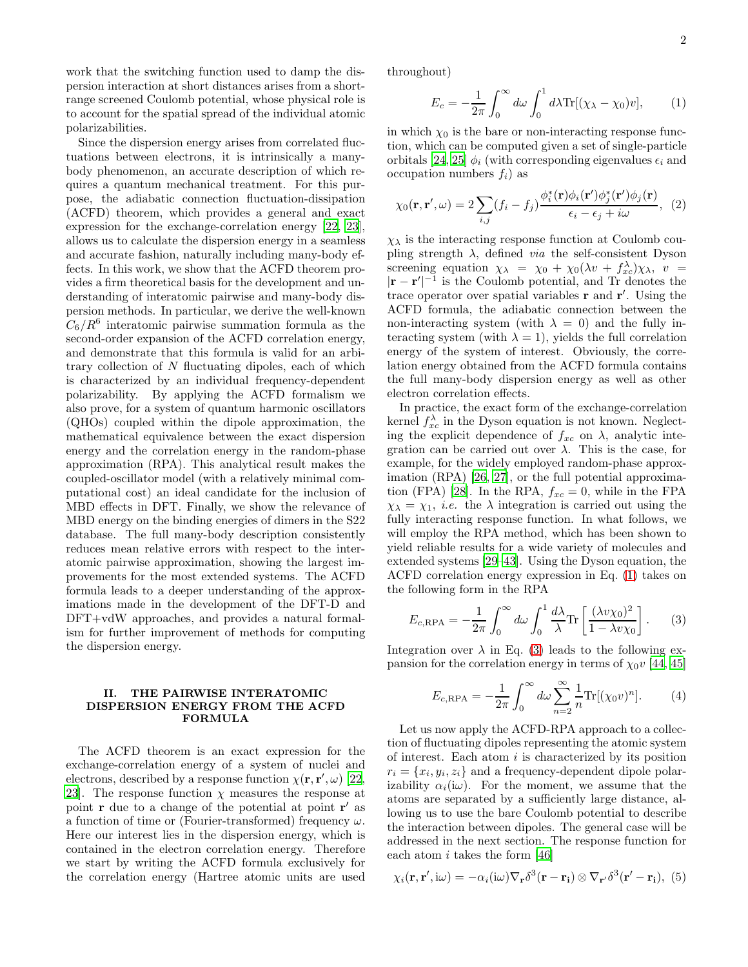work that the switching function used to damp the dispersion interaction at short distances arises from a shortrange screened Coulomb potential, whose physical role is to account for the spatial spread of the individual atomic polarizabilities.

Since the dispersion energy arises from correlated fluctuations between electrons, it is intrinsically a manybody phenomenon, an accurate description of which requires a quantum mechanical treatment. For this purpose, the adiabatic connection fluctuation-dissipation (ACFD) theorem, which provides a general and exact expression for the exchange-correlation energy [\[22,](#page-8-9) [23\]](#page-8-10), allows us to calculate the dispersion energy in a seamless and accurate fashion, naturally including many-body effects. In this work, we show that the ACFD theorem provides a firm theoretical basis for the development and understanding of interatomic pairwise and many-body dispersion methods. In particular, we derive the well-known  $C_6/R^6$  interatomic pairwise summation formula as the second-order expansion of the ACFD correlation energy, and demonstrate that this formula is valid for an arbitrary collection of N fluctuating dipoles, each of which is characterized by an individual frequency-dependent polarizability. By applying the ACFD formalism we also prove, for a system of quantum harmonic oscillators (QHOs) coupled within the dipole approximation, the mathematical equivalence between the exact dispersion energy and the correlation energy in the random-phase approximation (RPA). This analytical result makes the coupled-oscillator model (with a relatively minimal computational cost) an ideal candidate for the inclusion of MBD effects in DFT. Finally, we show the relevance of MBD energy on the binding energies of dimers in the S22 database. The full many-body description consistently reduces mean relative errors with respect to the interatomic pairwise approximation, showing the largest improvements for the most extended systems. The ACFD formula leads to a deeper understanding of the approximations made in the development of the DFT-D and DFT+vdW approaches, and provides a natural formalism for further improvement of methods for computing the dispersion energy.

#### II. THE PAIRWISE INTERATOMIC DISPERSION ENERGY FROM THE ACFD FORMULA

The ACFD theorem is an exact expression for the exchange-correlation energy of a system of nuclei and electrons, described by a response function  $\chi(\mathbf{r}, \mathbf{r}', \omega)$  [\[22](#page-8-9), 23. The response function  $\chi$  measures the response at point  $\mathbf r$  due to a change of the potential at point  $\mathbf r'$  as a function of time or (Fourier-transformed) frequency  $\omega$ . Here our interest lies in the dispersion energy, which is contained in the electron correlation energy. Therefore we start by writing the ACFD formula exclusively for the correlation energy (Hartree atomic units are used

throughout)

<span id="page-1-0"></span>
$$
E_c = -\frac{1}{2\pi} \int_0^\infty d\omega \int_0^1 d\lambda \text{Tr}[(\chi_\lambda - \chi_0)v], \qquad (1)
$$

in which  $\chi_0$  is the bare or non-interacting response function, which can be computed given a set of single-particle orbitals [\[24,](#page-8-11) [25](#page-8-12)]  $\phi_i$  (with corresponding eigenvalues  $\epsilon_i$  and occupation numbers  $f_i$ ) as

<span id="page-1-3"></span>
$$
\chi_0(\mathbf{r}, \mathbf{r}', \omega) = 2 \sum_{i,j} (f_i - f_j) \frac{\phi_i^*(\mathbf{r}) \phi_i(\mathbf{r}') \phi_j^*(\mathbf{r}') \phi_j(\mathbf{r})}{\epsilon_i - \epsilon_j + i\omega}, \tag{2}
$$

 $\chi_{\lambda}$  is the interacting response function at Coulomb coupling strength  $\lambda$ , defined *via* the self-consistent Dyson screening equation  $\chi_{\lambda} = \chi_0 + \chi_0(\lambda v + f_{xc}^{\lambda})\chi_{\lambda}, v =$  $|\mathbf{r} - \mathbf{r}'|^{-1}$  is the Coulomb potential, and Tr denotes the trace operator over spatial variables **r** and **r'**. Using the ACFD formula, the adiabatic connection between the non-interacting system (with  $\lambda = 0$ ) and the fully interacting system (with  $\lambda = 1$ ), yields the full correlation energy of the system of interest. Obviously, the correlation energy obtained from the ACFD formula contains the full many-body dispersion energy as well as other electron correlation effects.

In practice, the exact form of the exchange-correlation kernel  $f_{xc}^{\lambda}$  in the Dyson equation is not known. Neglecting the explicit dependence of  $f_{xc}$  on  $\lambda$ , analytic integration can be carried out over  $\lambda$ . This is the case, for example, for the widely employed random-phase approximation (RPA) [\[26](#page-8-13), [27\]](#page-8-14), or the full potential approxima-tion (FPA) [\[28\]](#page-8-15). In the RPA,  $f_{xc} = 0$ , while in the FPA  $\chi_{\lambda} = \chi_1$ , *i.e.* the  $\lambda$  integration is carried out using the fully interacting response function. In what follows, we will employ the RPA method, which has been shown to yield reliable results for a wide variety of molecules and extended systems [29–43]. Using the Dyson equation, the ACFD correlation energy expression in Eq. [\(1\)](#page-1-0) takes on the following form in the RPA

<span id="page-1-1"></span>
$$
E_{c,\text{RPA}} = -\frac{1}{2\pi} \int_0^\infty d\omega \int_0^1 \frac{d\lambda}{\lambda} \text{Tr}\left[\frac{(\lambda v \chi_0)^2}{1 - \lambda v \chi_0}\right].\tag{3}
$$

Integration over  $\lambda$  in Eq. [\(3\)](#page-1-1) leads to the following expansion for the correlation energy in terms of  $\chi_0 v$  [\[44,](#page-8-16) [45](#page-8-17)]

<span id="page-1-2"></span>
$$
E_{c, \text{RPA}} = -\frac{1}{2\pi} \int_0^\infty d\omega \sum_{n=2}^\infty \frac{1}{n} \text{Tr}[(\chi_0 v)^n]. \tag{4}
$$

Let us now apply the ACFD-RPA approach to a collection of fluctuating dipoles representing the atomic system of interest. Each atom  $i$  is characterized by its position  $r_i = \{x_i, y_i, z_i\}$  and a frequency-dependent dipole polarizability  $\alpha_i(i\omega)$ . For the moment, we assume that the atoms are separated by a sufficiently large distance, allowing us to use the bare Coulomb potential to describe the interaction between dipoles. The general case will be addressed in the next section. The response function for each atom  $i$  takes the form [\[46\]](#page-8-18)

$$
\chi_i(\mathbf{r}, \mathbf{r}', i\omega) = -\alpha_i(i\omega)\nabla_\mathbf{r}\delta^3(\mathbf{r} - \mathbf{r_i}) \otimes \nabla_{\mathbf{r}'}\delta^3(\mathbf{r}' - \mathbf{r_i}), \tag{5}
$$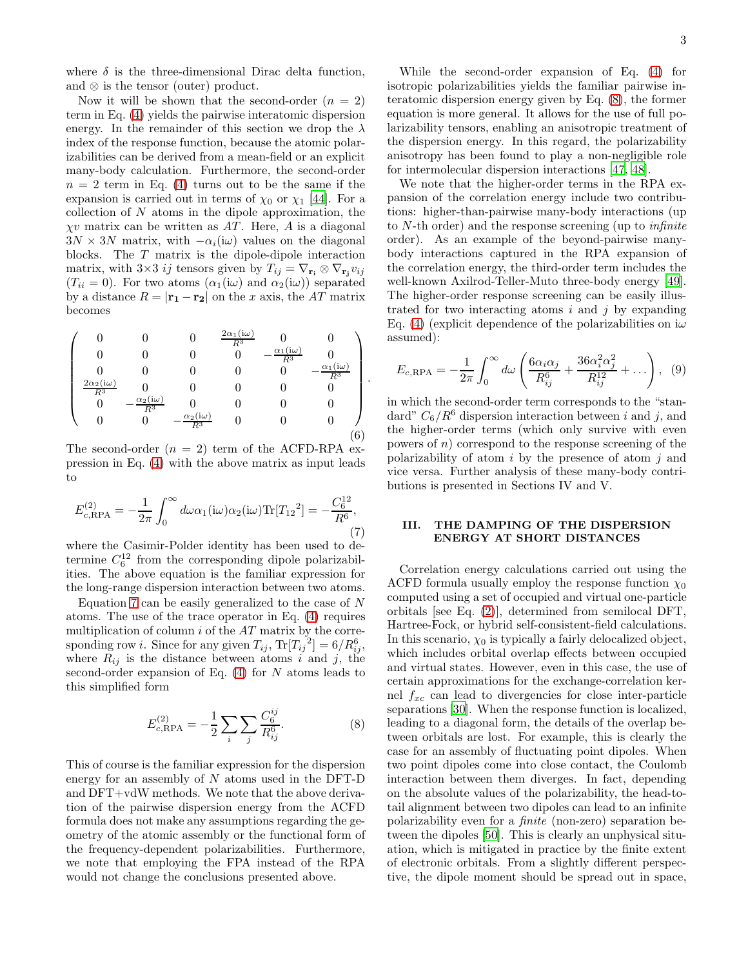where  $\delta$  is the three-dimensional Dirac delta function, and  $\otimes$  is the tensor (outer) product.

Now it will be shown that the second-order  $(n = 2)$ term in Eq. [\(4\)](#page-1-2) yields the pairwise interatomic dispersion energy. In the remainder of this section we drop the  $\lambda$ index of the response function, because the atomic polarizabilities can be derived from a mean-field or an explicit many-body calculation. Furthermore, the second-order  $n = 2$  term in Eq. [\(4\)](#page-1-2) turns out to be the same if the expansion is carried out in terms of  $\chi_0$  or  $\chi_1$  [\[44\]](#page-8-16). For a collection of  $N$  atoms in the dipole approximation, the  $\chi v$  matrix can be written as AT. Here, A is a diagonal  $3N \times 3N$  matrix, with  $-\alpha_i(i\omega)$  values on the diagonal blocks. The T matrix is the dipole-dipole interaction matrix, with  $3\times 3$  *ij* tensors given by  $T_{ij} = \nabla_{\mathbf{r_i}} \otimes \nabla_{\mathbf{r_j}} v_{ij}$  $(T_{ii} = 0)$ . For two atoms  $(\alpha_1(i\omega)$  and  $\alpha_2(i\omega))$  separated by a distance  $R = |\mathbf{r_1} - \mathbf{r_2}|$  on the x axis, the AT matrix becomes

<span id="page-2-2"></span>
$$
\begin{pmatrix}\n0 & 0 & 0 & \frac{2\alpha_1(i\omega)}{R^3} & 0 & 0 \\
0 & 0 & 0 & 0 & -\frac{\alpha_1(i\omega)}{R^3} & 0 \\
0 & 0 & 0 & 0 & 0 & -\frac{\alpha_1(i\omega)}{R^3} \\
\frac{2\alpha_2(i\omega)}{R^3} & 0 & 0 & 0 & 0 & 0 \\
0 & -\frac{\alpha_2(i\omega)}{R^3} & 0 & 0 & 0 & 0 \\
0 & 0 & -\frac{\alpha_2(i\omega)}{R^3} & 0 & 0 & 0\n\end{pmatrix}
$$
\n(6)

.

The second-order  $(n = 2)$  term of the ACFD-RPA expression in Eq. [\(4\)](#page-1-2) with the above matrix as input leads to

<span id="page-2-0"></span>
$$
E_{c,\text{RPA}}^{(2)} = -\frac{1}{2\pi} \int_0^\infty d\omega \alpha_1(i\omega) \alpha_2(i\omega) \text{Tr}[T_{12}{}^2] = -\frac{C_6^{12}}{R^6},\tag{7}
$$

where the Casimir-Polder identity has been used to determine  $C_6^{12}$  from the corresponding dipole polarizabilities. The above equation is the familiar expression for the long-range dispersion interaction between two atoms.

Equation [7](#page-2-0) can be easily generalized to the case of  $N$ atoms. The use of the trace operator in Eq. [\(4\)](#page-1-2) requires multiplication of column  $i$  of the  $AT$  matrix by the corresponding row *i*. Since for any given  $T_{ij}$ ,  $\text{Tr}[T_{ij}^{2}] = 6/R_{ij}^{6}$ , where  $R_{ij}$  is the distance between atoms i and j, the second-order expansion of Eq.  $(4)$  for N atoms leads to this simplified form

<span id="page-2-1"></span>
$$
E_{c, \text{RPA}}^{(2)} = -\frac{1}{2} \sum_{i} \sum_{j} \frac{C_6^{ij}}{R_{ij}^6}.
$$
 (8)

This of course is the familiar expression for the dispersion energy for an assembly of  $N$  atoms used in the DFT-D and DFT+vdW methods. We note that the above derivation of the pairwise dispersion energy from the ACFD formula does not make any assumptions regarding the geometry of the atomic assembly or the functional form of the frequency-dependent polarizabilities. Furthermore, we note that employing the FPA instead of the RPA would not change the conclusions presented above.

While the second-order expansion of Eq. [\(4\)](#page-1-2) for isotropic polarizabilities yields the familiar pairwise interatomic dispersion energy given by Eq. [\(8\)](#page-2-1), the former equation is more general. It allows for the use of full polarizability tensors, enabling an anisotropic treatment of the dispersion energy. In this regard, the polarizability anisotropy has been found to play a non-negligible role for intermolecular dispersion interactions [\[47,](#page-8-19) [48\]](#page-8-20).

We note that the higher-order terms in the RPA expansion of the correlation energy include two contributions: higher-than-pairwise many-body interactions (up to  $N$ -th order) and the response screening (up to *infinite* order). As an example of the beyond-pairwise manybody interactions captured in the RPA expansion of the correlation energy, the third-order term includes the well-known Axilrod-Teller-Muto three-body energy [\[49\]](#page-8-21). The higher-order response screening can be easily illustrated for two interacting atoms  $i$  and  $j$  by expanding Eq. [\(4\)](#page-1-2) (explicit dependence of the polarizabilities on  $\omega$ assumed):

$$
E_{c,\text{RPA}} = -\frac{1}{2\pi} \int_0^\infty d\omega \left( \frac{6\alpha_i \alpha_j}{R_{ij}^6} + \frac{36\alpha_i^2 \alpha_j^2}{R_{ij}^{12}} + \ldots \right), \tag{9}
$$

in which the second-order term corresponds to the "standard"  $C_6/R^6$  dispersion interaction between i and j, and the higher-order terms (which only survive with even powers of  $n$ ) correspond to the response screening of the polarizability of atom  $i$  by the presence of atom  $j$  and vice versa. Further analysis of these many-body contributions is presented in Sections IV and V.

## III. THE DAMPING OF THE DISPERSION ENERGY AT SHORT DISTANCES

Correlation energy calculations carried out using the ACFD formula usually employ the response function  $\chi_0$ computed using a set of occupied and virtual one-particle orbitals [see Eq. [\(2\)](#page-1-3)], determined from semilocal DFT, Hartree-Fock, or hybrid self-consistent-field calculations. In this scenario,  $\chi_0$  is typically a fairly delocalized object, which includes orbital overlap effects between occupied and virtual states. However, even in this case, the use of certain approximations for the exchange-correlation kernel  $f_{xc}$  can lead to divergencies for close inter-particle separations [\[30\]](#page-8-22). When the response function is localized, leading to a diagonal form, the details of the overlap between orbitals are lost. For example, this is clearly the case for an assembly of fluctuating point dipoles. When two point dipoles come into close contact, the Coulomb interaction between them diverges. In fact, depending on the absolute values of the polarizability, the head-totail alignment between two dipoles can lead to an infinite polarizability even for a finite (non-zero) separation between the dipoles [\[50](#page-8-23)]. This is clearly an unphysical situation, which is mitigated in practice by the finite extent of electronic orbitals. From a slightly different perspective, the dipole moment should be spread out in space,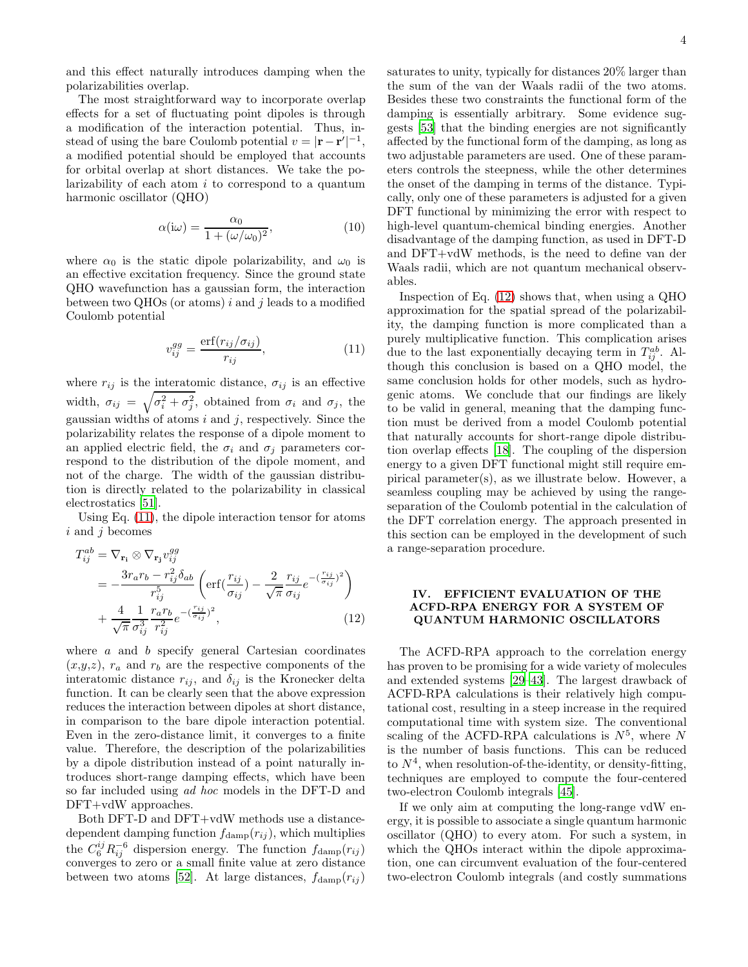and this effect naturally introduces damping when the polarizabilities overlap.

The most straightforward way to incorporate overlap effects for a set of fluctuating point dipoles is through a modification of the interaction potential. Thus, instead of using the bare Coulomb potential  $v = |\mathbf{r} - \mathbf{r}'|^{-1}$ , a modified potential should be employed that accounts for orbital overlap at short distances. We take the polarizability of each atom  $i$  to correspond to a quantum harmonic oscillator (QHO)

<span id="page-3-2"></span>
$$
\alpha(i\omega) = \frac{\alpha_0}{1 + (\omega/\omega_0)^2},\tag{10}
$$

where  $\alpha_0$  is the static dipole polarizability, and  $\omega_0$  is an effective excitation frequency. Since the ground state QHO wavefunction has a gaussian form, the interaction between two QHOs (or atoms)  $i$  and  $j$  leads to a modified Coulomb potential

<span id="page-3-0"></span>
$$
v_{ij}^{gg} = \frac{\text{erf}(r_{ij}/\sigma_{ij})}{r_{ij}},\tag{11}
$$

where  $r_{ij}$  is the interatomic distance,  $\sigma_{ij}$  is an effective width,  $\sigma_{ij} = \sqrt{\sigma_i^2 + \sigma_j^2}$ , obtained from  $\sigma_i$  and  $\sigma_j$ , the gaussian widths of atoms  $i$  and  $j$ , respectively. Since the polarizability relates the response of a dipole moment to an applied electric field, the  $\sigma_i$  and  $\sigma_j$  parameters correspond to the distribution of the dipole moment, and not of the charge. The width of the gaussian distribution is directly related to the polarizability in classical electrostatics [\[51\]](#page-8-24).

Using Eq. [\(11\)](#page-3-0), the dipole interaction tensor for atoms  $i$  and  $j$  becomes

<span id="page-3-1"></span>
$$
T_{ij}^{ab} = \nabla_{\mathbf{r}_{i}} \otimes \nabla_{\mathbf{r}_{j}} v_{ij}^{gg}
$$
  
= 
$$
-\frac{3r_{a}r_{b} - r_{ij}^{2}\delta_{ab}}{r_{ij}^{5}} \left( \text{erf}\left(\frac{r_{ij}}{\sigma_{ij}}\right) - \frac{2}{\sqrt{\pi}} \frac{r_{ij}}{\sigma_{ij}} e^{-\left(\frac{r_{ij}}{\sigma_{ij}}\right)^{2}} \right)
$$
  
+ 
$$
\frac{4}{\sqrt{\pi}} \frac{1}{\sigma_{ij}^{3}} \frac{r_{a}r_{b}}{r_{ij}^{2}} e^{-\left(\frac{r_{ij}}{\sigma_{ij}}\right)^{2}},
$$
(12)

where  $a$  and  $b$  specify general Cartesian coordinates  $(x,y,z)$ ,  $r_a$  and  $r_b$  are the respective components of the interatomic distance  $r_{ij}$ , and  $\delta_{ij}$  is the Kronecker delta function. It can be clearly seen that the above expression reduces the interaction between dipoles at short distance, in comparison to the bare dipole interaction potential. Even in the zero-distance limit, it converges to a finite value. Therefore, the description of the polarizabilities by a dipole distribution instead of a point naturally introduces short-range damping effects, which have been so far included using ad hoc models in the DFT-D and DFT+vdW approaches.

Both DFT-D and DFT+vdW methods use a distancedependent damping function  $f_{\text{damp}}(r_{ij})$ , which multiplies the  $C_6^{ij}R_{ij}^{-6}$  dispersion energy. The function  $f_{\text{damp}}(r_{ij})$ converges to zero or a small finite value at zero distance between two atoms [\[52\]](#page-8-25). At large distances,  $f_{\text{damp}}(r_{ij})$  saturates to unity, typically for distances 20% larger than the sum of the van der Waals radii of the two atoms. Besides these two constraints the functional form of the damping is essentially arbitrary. Some evidence suggests [\[53\]](#page-8-26) that the binding energies are not significantly affected by the functional form of the damping, as long as two adjustable parameters are used. One of these parameters controls the steepness, while the other determines the onset of the damping in terms of the distance. Typically, only one of these parameters is adjusted for a given DFT functional by minimizing the error with respect to high-level quantum-chemical binding energies. Another disadvantage of the damping function, as used in DFT-D and DFT+vdW methods, is the need to define van der Waals radii, which are not quantum mechanical observables.

Inspection of Eq. [\(12\)](#page-3-1) shows that, when using a QHO approximation for the spatial spread of the polarizability, the damping function is more complicated than a purely multiplicative function. This complication arises due to the last exponentially decaying term in  $T_{ij}^{ab}$ . Although this conclusion is based on a QHO model, the same conclusion holds for other models, such as hydrogenic atoms. We conclude that our findings are likely to be valid in general, meaning that the damping function must be derived from a model Coulomb potential that naturally accounts for short-range dipole distribution overlap effects [\[18\]](#page-8-5). The coupling of the dispersion energy to a given DFT functional might still require empirical parameter(s), as we illustrate below. However, a seamless coupling may be achieved by using the rangeseparation of the Coulomb potential in the calculation of the DFT correlation energy. The approach presented in this section can be employed in the development of such a range-separation procedure.

### IV. EFFICIENT EVALUATION OF THE ACFD-RPA ENERGY FOR A SYSTEM OF QUANTUM HARMONIC OSCILLATORS

The ACFD-RPA approach to the correlation energy has proven to be promising for a wide variety of molecules and extended systems [29–43]. The largest drawback of ACFD-RPA calculations is their relatively high computational cost, resulting in a steep increase in the required computational time with system size. The conventional scaling of the ACFD-RPA calculations is  $N^5$ , where N is the number of basis functions. This can be reduced to  $N^4$ , when resolution-of-the-identity, or density-fitting, techniques are employed to compute the four-centered two-electron Coulomb integrals [\[45\]](#page-8-17).

If we only aim at computing the long-range vdW energy, it is possible to associate a single quantum harmonic oscillator (QHO) to every atom. For such a system, in which the QHOs interact within the dipole approximation, one can circumvent evaluation of the four-centered two-electron Coulomb integrals (and costly summations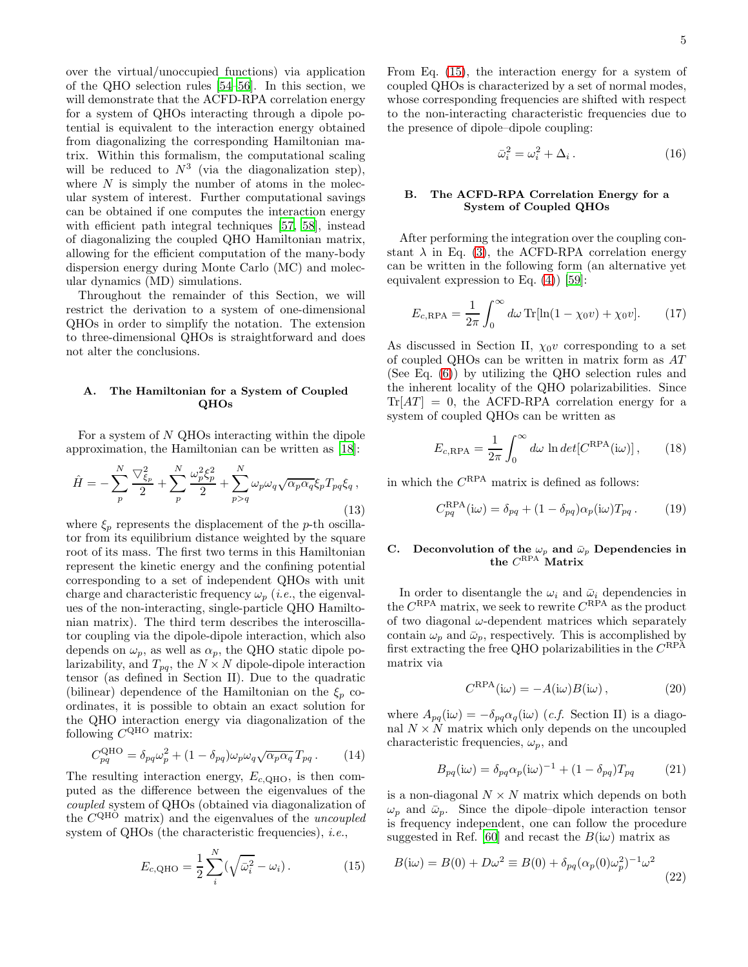over the virtual/unoccupied functions) via application of the QHO selection rules [\[54](#page-8-27)[–56\]](#page-8-28). In this section, we will demonstrate that the ACFD-RPA correlation energy for a system of QHOs interacting through a dipole potential is equivalent to the interaction energy obtained from diagonalizing the corresponding Hamiltonian matrix. Within this formalism, the computational scaling will be reduced to  $N^3$  (via the diagonalization step), where  $N$  is simply the number of atoms in the molecular system of interest. Further computational savings can be obtained if one computes the interaction energy with efficient path integral techniques [\[57,](#page-8-29) [58\]](#page-8-30), instead of diagonalizing the coupled QHO Hamiltonian matrix, allowing for the efficient computation of the many-body dispersion energy during Monte Carlo (MC) and molecular dynamics (MD) simulations.

Throughout the remainder of this Section, we will restrict the derivation to a system of one-dimensional QHOs in order to simplify the notation. The extension to three-dimensional QHOs is straightforward and does not alter the conclusions.

#### A. The Hamiltonian for a System of Coupled QHOs

For a system of N QHOs interacting within the dipole approximation, the Hamiltonian can be written as [\[18](#page-8-5)]:

$$
\hat{H} = -\sum_{p}^{N} \frac{\nabla_{\xi_p}^2}{2} + \sum_{p}^{N} \frac{\omega_p^2 \xi_p^2}{2} + \sum_{p>q}^{N} \omega_p \omega_q \sqrt{\alpha_p \alpha_q} \xi_p T_{pq} \xi_q,
$$
\n(13)

where  $\xi_p$  represents the displacement of the p-th oscillator from its equilibrium distance weighted by the square root of its mass. The first two terms in this Hamiltonian represent the kinetic energy and the confining potential corresponding to a set of independent QHOs with unit charge and characteristic frequency  $\omega_p$  (*i.e.*, the eigenvalues of the non-interacting, single-particle QHO Hamiltonian matrix). The third term describes the interoscillator coupling via the dipole-dipole interaction, which also depends on  $\omega_p$ , as well as  $\alpha_p$ , the QHO static dipole polarizability, and  $T_{pq}$ , the  $N \times N$  dipole-dipole interaction tensor (as defined in Section II). Due to the quadratic (bilinear) dependence of the Hamiltonian on the  $\xi_p$  coordinates, it is possible to obtain an exact solution for the QHO interaction energy via diagonalization of the following  $C^{\text{QHO}}$  matrix:

$$
C_{pq}^{\text{QHO}} = \delta_{pq} \omega_p^2 + (1 - \delta_{pq}) \omega_p \omega_q \sqrt{\alpha_p \alpha_q} T_{pq} \,. \tag{14}
$$

The resulting interaction energy,  $E_{c,QHO}$ , is then computed as the difference between the eigenvalues of the coupled system of QHOs (obtained via diagonalization of the  $C^{\text{QHO}}$  matrix) and the eigenvalues of the *uncoupled* system of QHOs (the characteristic frequencies), *i.e.*,

<span id="page-4-0"></span>
$$
E_{c,\text{QHO}} = \frac{1}{2} \sum_{i}^{N} (\sqrt{\bar{\omega}_i^2} - \omega_i). \tag{15}
$$

From Eq. [\(15\)](#page-4-0), the interaction energy for a system of coupled QHOs is characterized by a set of normal modes, whose corresponding frequencies are shifted with respect to the non-interacting characteristic frequencies due to the presence of dipole–dipole coupling:

<span id="page-4-2"></span>
$$
\bar{\omega}_i^2 = \omega_i^2 + \Delta_i \,. \tag{16}
$$

## B. The ACFD-RPA Correlation Energy for a System of Coupled QHOs

After performing the integration over the coupling constant  $\lambda$  in Eq. [\(3\)](#page-1-1), the ACFD-RPA correlation energy can be written in the following form (an alternative yet equivalent expression to Eq.  $(4)$  [\[59](#page-8-31)]:

$$
E_{c,\text{RPA}} = \frac{1}{2\pi} \int_0^\infty d\omega \, \text{Tr}[\ln(1 - \chi_0 v) + \chi_0 v]. \tag{17}
$$

As discussed in Section II,  $\chi_0 v$  corresponding to a set of coupled QHOs can be written in matrix form as AT (See Eq. [\(6\)](#page-2-2)) by utilizing the QHO selection rules and the inherent locality of the QHO polarizabilities. Since  $Tr[AT] = 0$ , the ACFD-RPA correlation energy for a system of coupled QHOs can be written as

<span id="page-4-1"></span>
$$
E_{c,\text{RPA}} = \frac{1}{2\pi} \int_0^\infty d\omega \, \ln \det[C^{\text{RPA}}(i\omega)],\qquad(18)
$$

in which the  $C^{RPA}$  matrix is defined as follows:

$$
C_{pq}^{\text{RPA}}(i\omega) = \delta_{pq} + (1 - \delta_{pq})\alpha_p(i\omega)T_{pq}.
$$
 (19)

#### C. Deconvolution of the  $\omega_p$  and  $\bar{\omega}_p$  Dependencies in the  $C^{RPA}$  Matrix

In order to disentangle the  $\omega_i$  and  $\bar{\omega}_i$  dependencies in the  $C^{RPA}$  matrix, we seek to rewrite  $C^{RPA}$  as the product of two diagonal  $\omega$ -dependent matrices which separately contain  $\omega_p$  and  $\bar{\omega}_p$ , respectively. This is accomplished by first extracting the free QHO polarizabilities in the  $C^{RPA}$ matrix via

$$
C^{\rm RPA}(\mathrm{i}\omega) = -A(\mathrm{i}\omega)B(\mathrm{i}\omega)\,,\tag{20}
$$

where  $A_{pq}(i\omega) = -\delta_{pq}\alpha_q(i\omega)$  (*c.f.* Section II) is a diagonal  $N \times N$  matrix which only depends on the uncoupled characteristic frequencies,  $\omega_p$ , and

$$
B_{pq}(i\omega) = \delta_{pq} \alpha_p(i\omega)^{-1} + (1 - \delta_{pq}) T_{pq} \qquad (21)
$$

is a non-diagonal  $N \times N$  matrix which depends on both  $\omega_p$  and  $\bar{\omega}_p$ . Since the dipole–dipole interaction tensor is frequency independent, one can follow the procedure suggested in Ref. [\[60](#page-8-32)] and recast the  $B(i\omega)$  matrix as

$$
B(i\omega) = B(0) + D\omega^2 \equiv B(0) + \delta_{pq}(\alpha_p(0)\omega_p^2)^{-1}\omega^2
$$
\n(22)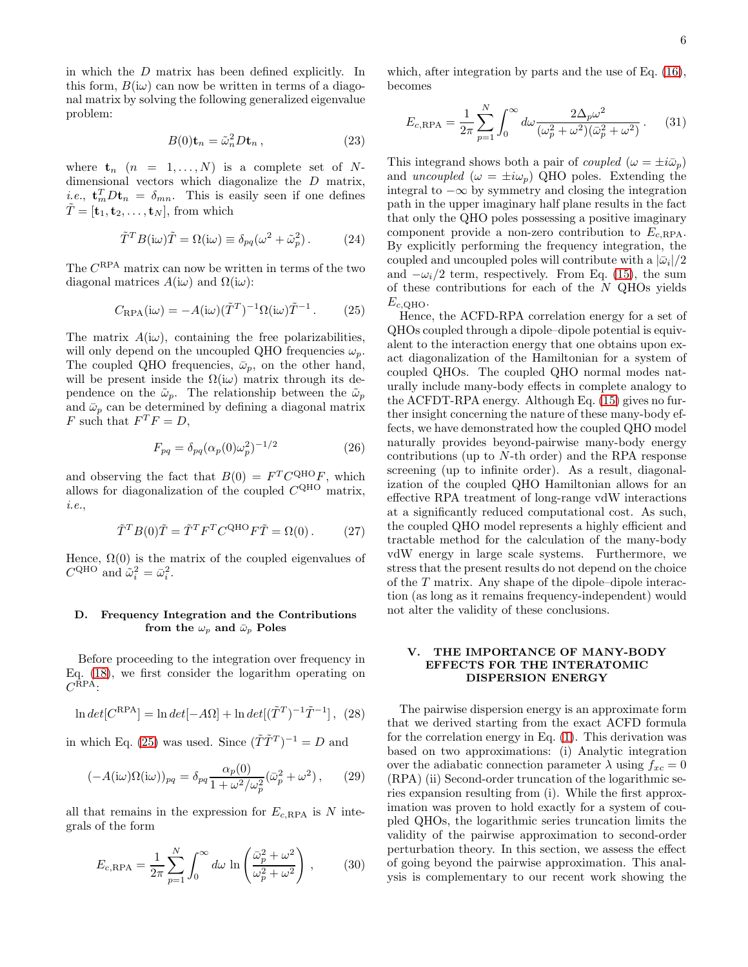in which the D matrix has been defined explicitly. In this form,  $B(i\omega)$  can now be written in terms of a diagonal matrix by solving the following generalized eigenvalue problem:

$$
B(0)\mathbf{t}_n = \tilde{\omega}_n^2 D \mathbf{t}_n, \qquad (23)
$$

where  $\mathbf{t}_n$  ( $n = 1, ..., N$ ) is a complete set of Ndimensional vectors which diagonalize the  $D$  matrix, *i.e.*,  $\mathbf{t}_m^T D \mathbf{t}_n = \delta_{mn}$ . This is easily seen if one defines  $\hat{T} = [\mathbf{t}_1, \mathbf{t}_2, \dots, \mathbf{t}_N]$ , from which

$$
\tilde{T}^T B(\mathrm{i}\omega)\tilde{T} = \Omega(\mathrm{i}\omega) \equiv \delta_{pq}(\omega^2 + \tilde{\omega}_p^2). \tag{24}
$$

The  $C^{RPA}$  matrix can now be written in terms of the two diagonal matrices  $A(i\omega)$  and  $\Omega(i\omega)$ :

<span id="page-5-0"></span>
$$
C_{\rm RPA}(\mathrm{i}\omega) = -A(\mathrm{i}\omega)(\tilde{T}^T)^{-1}\Omega(\mathrm{i}\omega)\tilde{T}^{-1}.
$$
 (25)

The matrix  $A(i\omega)$ , containing the free polarizabilities, will only depend on the uncoupled QHO frequencies  $\omega_n$ . The coupled QHO frequencies,  $\bar{\omega}_p$ , on the other hand, will be present inside the  $\Omega(i\omega)$  matrix through its dependence on the  $\tilde{\omega}_p$ . The relationship between the  $\tilde{\omega}_p$ and  $\bar{\omega}_p$  can be determined by defining a diagonal matrix F such that  $F^T F = D$ ,

$$
F_{pq} = \delta_{pq} (\alpha_p(0)\omega_p^2)^{-1/2}
$$
 (26)

and observing the fact that  $B(0) = F^T C^{QHO} F$ , which allows for diagonalization of the coupled  $C^{\text{QHO}}$  matrix, i.e.,

$$
\tilde{T}^T B(0)\tilde{T} = \tilde{T}^T F^T C^{QHO} F \tilde{T} = \Omega(0). \qquad (27)
$$

Hence,  $\Omega(0)$  is the matrix of the coupled eigenvalues of  $C^{\text{QHO}}$  and  $\tilde{\omega}_i^2 = \bar{\omega}_i^2$ .

### D. Frequency Integration and the Contributions from the  $\omega_p$  and  $\bar{\omega}_p$  Poles

Before proceeding to the integration over frequency in Eq. [\(18\)](#page-4-1), we first consider the logarithm operating on  $C^{\text{RPA}}$ :

$$
\ln det[C^{\rm RPA}] = \ln det[-A\Omega] + \ln det[(\tilde{T}^T)^{-1}\tilde{T}^{-1}], (28)
$$

in which Eq. [\(25\)](#page-5-0) was used. Since  $(\tilde{T}\tilde{T}^T)^{-1} = D$  and

$$
(-A(i\omega)\Omega(i\omega))_{pq} = \delta_{pq}\frac{\alpha_p(0)}{1+\omega^2/\omega_p^2}(\bar{\omega}_p^2+\omega^2),\qquad(29)
$$

all that remains in the expression for  $E_{c,RPA}$  is N integrals of the form

$$
E_{c,\text{RPA}} = \frac{1}{2\pi} \sum_{p=1}^{N} \int_0^{\infty} d\omega \, \ln\left(\frac{\bar{\omega}_p^2 + \omega^2}{\omega_p^2 + \omega^2}\right),\tag{30}
$$

which, after integration by parts and the use of Eq. [\(16\)](#page-4-2), becomes

$$
E_{c,\text{RPA}} = \frac{1}{2\pi} \sum_{p=1}^{N} \int_0^\infty d\omega \frac{2\Delta_p \omega^2}{(\omega_p^2 + \omega^2)(\bar{\omega}_p^2 + \omega^2)} \,. \tag{31}
$$

This integrand shows both a pair of *coupled*  $(\omega = \pm i\bar{\omega}_p)$ and uncoupled  $(\omega = \pm i\omega_p)$  QHO poles. Extending the integral to  $-\infty$  by symmetry and closing the integration path in the upper imaginary half plane results in the fact that only the QHO poles possessing a positive imaginary component provide a non-zero contribution to  $E_{c,RPA}$ . By explicitly performing the frequency integration, the coupled and uncoupled poles will contribute with a  $|\bar{\omega}_i|/2$ and  $-\omega_i/2$  term, respectively. From Eq. [\(15\)](#page-4-0), the sum of these contributions for each of the N QHOs yields  $E_{c, QHO}$ .

Hence, the ACFD-RPA correlation energy for a set of QHOs coupled through a dipole–dipole potential is equivalent to the interaction energy that one obtains upon exact diagonalization of the Hamiltonian for a system of coupled QHOs. The coupled QHO normal modes naturally include many-body effects in complete analogy to the ACFDT-RPA energy. Although Eq. [\(15\)](#page-4-0) gives no further insight concerning the nature of these many-body effects, we have demonstrated how the coupled QHO model naturally provides beyond-pairwise many-body energy contributions (up to N-th order) and the RPA response screening (up to infinite order). As a result, diagonalization of the coupled QHO Hamiltonian allows for an effective RPA treatment of long-range vdW interactions at a significantly reduced computational cost. As such, the coupled QHO model represents a highly efficient and tractable method for the calculation of the many-body vdW energy in large scale systems. Furthermore, we stress that the present results do not depend on the choice of the T matrix. Any shape of the dipole–dipole interaction (as long as it remains frequency-independent) would not alter the validity of these conclusions.

### V. THE IMPORTANCE OF MANY-BODY EFFECTS FOR THE INTERATOMIC DISPERSION ENERGY

The pairwise dispersion energy is an approximate form that we derived starting from the exact ACFD formula for the correlation energy in Eq. [\(1\)](#page-1-0). This derivation was based on two approximations: (i) Analytic integration over the adiabatic connection parameter  $\lambda$  using  $f_{xc} = 0$ (RPA) (ii) Second-order truncation of the logarithmic series expansion resulting from (i). While the first approximation was proven to hold exactly for a system of coupled QHOs, the logarithmic series truncation limits the validity of the pairwise approximation to second-order perturbation theory. In this section, we assess the effect of going beyond the pairwise approximation. This analysis is complementary to our recent work showing the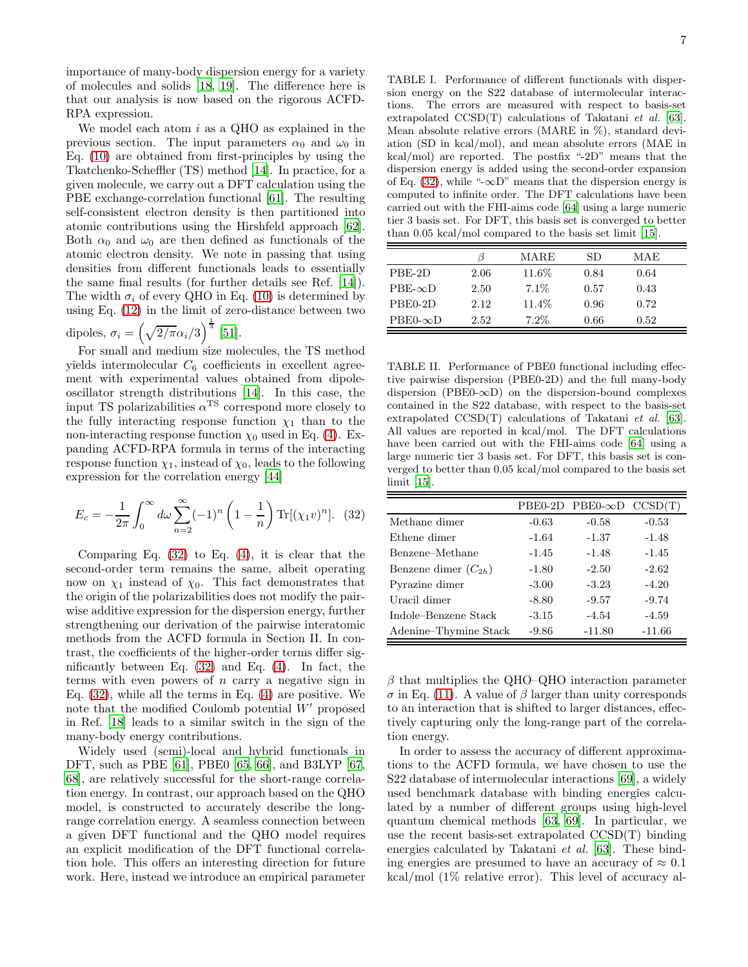importance of many-body dispersion energy for a variety of molecules and solids [\[18](#page-8-5), [19](#page-8-6)]. The difference here is that our analysis is now based on the rigorous ACFD-RPA expression.

We model each atom  $i$  as a QHO as explained in the previous section. The input parameters  $\alpha_0$  and  $\omega_0$  in Eq. [\(10\)](#page-3-2) are obtained from first-principles by using the Tkatchenko-Scheffler (TS) method [\[14](#page-8-1)]. In practice, for a given molecule, we carry out a DFT calculation using the PBE exchange-correlation functional [\[61\]](#page-8-33). The resulting self-consistent electron density is then partitioned into atomic contributions using the Hirshfeld approach [\[62\]](#page-8-34). Both  $\alpha_0$  and  $\omega_0$  are then defined as functionals of the atomic electron density. We note in passing that using densities from different functionals leads to essentially the same final results (for further details see Ref. [\[14\]](#page-8-1)). The width  $\sigma_i$  of every QHO in Eq. [\(10\)](#page-3-2) is determined by using Eq. [\(12\)](#page-3-1) in the limit of zero-distance between two

dipoles, 
$$
\sigma_i = \left(\sqrt{2/\pi} \alpha_i/3\right)^{\frac{1}{3}}
$$
 [51].

For small and medium size molecules, the TS method yields intermolecular  $C_6$  coefficients in excellent agreement with experimental values obtained from dipoleoscillator strength distributions [\[14](#page-8-1)]. In this case, the input TS polarizabilities  $\alpha$ <sup>TS</sup> correspond more closely to the fully interacting response function  $\chi_1$  than to the non-interacting response function  $\chi_0$  used in Eq. [\(4\)](#page-1-2). Expanding ACFD-RPA formula in terms of the interacting response function  $\chi_1$ , instead of  $\chi_0$ , leads to the following expression for the correlation energy [\[44\]](#page-8-16)

<span id="page-6-0"></span>
$$
E_c = -\frac{1}{2\pi} \int_0^\infty d\omega \sum_{n=2}^\infty (-1)^n \left(1 - \frac{1}{n}\right) \text{Tr}[(\chi_1 v)^n]. \tag{32}
$$

Comparing Eq.  $(32)$  to Eq.  $(4)$ , it is clear that the second-order term remains the same, albeit operating now on  $\chi_1$  instead of  $\chi_0$ . This fact demonstrates that the origin of the polarizabilities does not modify the pairwise additive expression for the dispersion energy, further strengthening our derivation of the pairwise interatomic methods from the ACFD formula in Section II. In contrast, the coefficients of the higher-order terms differ significantly between Eq. [\(32\)](#page-6-0) and Eq. [\(4\)](#page-1-2). In fact, the terms with even powers of  $n$  carry a negative sign in Eq. [\(32\)](#page-6-0), while all the terms in Eq. [\(4\)](#page-1-2) are positive. We note that the modified Coulomb potential W′ proposed in Ref. [\[18\]](#page-8-5) leads to a similar switch in the sign of the many-body energy contributions.

Widely used (semi)-local and hybrid functionals in DFT, such as PBE [\[61](#page-8-33)], PBE0 [\[65,](#page-8-35) [66](#page-8-36)], and B3LYP [\[67](#page-8-37), [68\]](#page-8-38), are relatively successful for the short-range correlation energy. In contrast, our approach based on the QHO model, is constructed to accurately describe the longrange correlation energy. A seamless connection between a given DFT functional and the QHO model requires an explicit modification of the DFT functional correlation hole. This offers an interesting direction for future work. Here, instead we introduce an empirical parameter

<span id="page-6-1"></span>TABLE I. Performance of different functionals with dispersion energy on the S22 database of intermolecular interactions. The errors are measured with respect to basis-set extrapolated CCSD(T) calculations of Takatani et al. [\[63\]](#page-8-39). Mean absolute relative errors (MARE in %), standard deviation (SD in kcal/mol), and mean absolute errors (MAE in kcal/mol) are reported. The postfix "-2D" means that the dispersion energy is added using the second-order expansion of Eq.  $(32)$ , while "-∞D" means that the dispersion energy is computed to infinite order. The DFT calculations have been carried out with the FHI-aims code [\[64](#page-8-40)] using a large numeric tier 3 basis set. For DFT, this basis set is converged to better than 0.05 kcal/mol compared to the basis set limit [\[15](#page-8-2)].

|                      |      | MARE     | SD   | MAE  |  |
|----------------------|------|----------|------|------|--|
| $PBF-2D$             | 2.06 | $11.6\%$ | 0.84 | 0.64 |  |
| $PBE-\infty D$       | 2.50 | $7.1\%$  | 0.57 | 0.43 |  |
| PBE <sub>0</sub> -2D | 2.12 | 11.4%    | 0.96 | 0.72 |  |
| $PBE0-\infty D$      | 2.52 | 7.2%     | 0.66 | 0.52 |  |

<span id="page-6-2"></span>TABLE II. Performance of PBE0 functional including effective pairwise dispersion (PBE0-2D) and the full many-body dispersion (PBE0- $\infty$ D) on the dispersion-bound complexes contained in the S22 database, with respect to the basis-set extrapolated CCSD(T) calculations of Takatani et al. [\[63\]](#page-8-39). All values are reported in kcal/mol. The DFT calculations have been carried out with the FHI-aims code [\[64\]](#page-8-40) using a large numeric tier 3 basis set. For DFT, this basis set is converged to better than 0.05 kcal/mol compared to the basis set limit [\[15\]](#page-8-2).

|                          |         | $PBE0-2D$ $PBE0-\infty D$ $CCSD(T)$ |          |
|--------------------------|---------|-------------------------------------|----------|
| Methane dimer            | $-0.63$ | $-0.58$                             | $-0.53$  |
| Ethene dimer             | $-1.64$ | $-1.37$                             | $-1.48$  |
| Benzene-Methane          | $-1.45$ | $-1.48$                             | $-1.45$  |
| Benzene dimer $(C_{2h})$ | $-1.80$ | $-2.50$                             | $-2.62$  |
| Pyrazine dimer           | $-3.00$ | $-3.23$                             | $-4.20$  |
| Uracil dimer             | $-8.80$ | $-9.57$                             | $-9.74$  |
| Indole–Benzene Stack     | $-3.15$ | $-4.54$                             | $-4.59$  |
| Adenine–Thymine Stack    | $-9.86$ | $-11.80$                            | $-11.66$ |

 $\beta$  that multiplies the QHO–QHO interaction parameter  $\sigma$  in Eq. [\(11\)](#page-3-0). A value of  $\beta$  larger than unity corresponds to an interaction that is shifted to larger distances, effectively capturing only the long-range part of the correlation energy.

In order to assess the accuracy of different approximations to the ACFD formula, we have chosen to use the S22 database of intermolecular interactions [\[69](#page-8-41)], a widely used benchmark database with binding energies calculated by a number of different groups using high-level quantum chemical methods [\[63](#page-8-39), [69\]](#page-8-41). In particular, we use the recent basis-set extrapolated CCSD(T) binding energies calculated by Takatani et al. [\[63\]](#page-8-39). These binding energies are presumed to have an accuracy of  $\approx 0.1$ kcal/mol (1% relative error). This level of accuracy al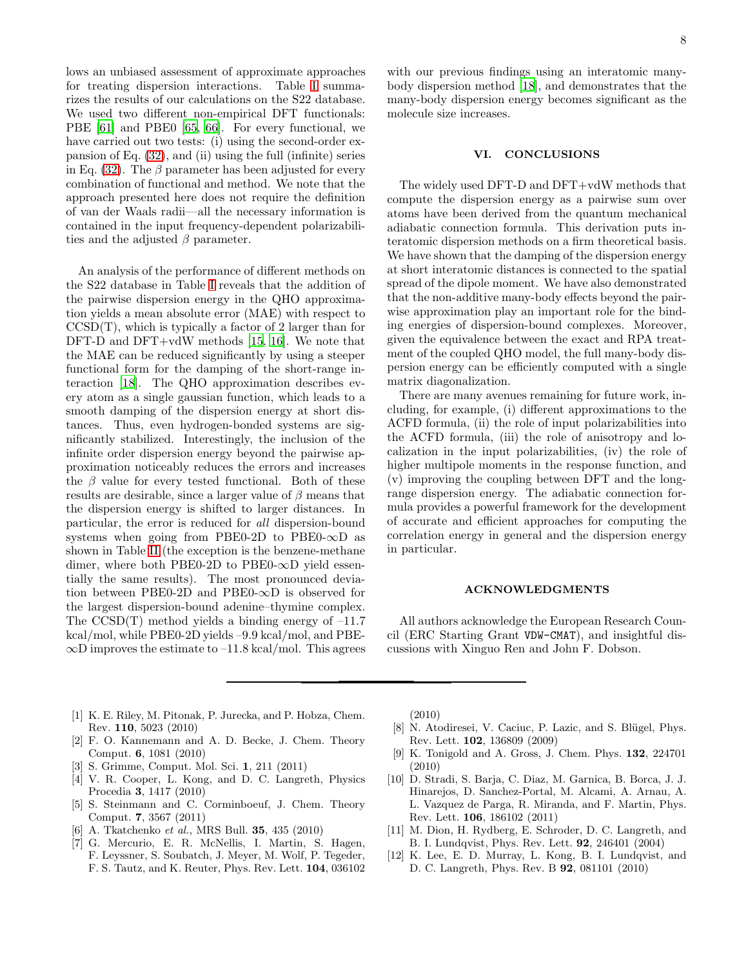lows an unbiased assessment of approximate approaches for treating dispersion interactions. Table [I](#page-6-1) summarizes the results of our calculations on the S22 database. We used two different non-empirical DFT functionals: PBE [\[61\]](#page-8-33) and PBE0 [\[65,](#page-8-35) [66](#page-8-36)]. For every functional, we have carried out two tests: (i) using the second-order expansion of Eq. [\(32\)](#page-6-0), and (ii) using the full (infinite) series in Eq. [\(32\)](#page-6-0). The  $\beta$  parameter has been adjusted for every combination of functional and method. We note that the approach presented here does not require the definition of van der Waals radii—all the necessary information is contained in the input frequency-dependent polarizabilities and the adjusted  $\beta$  parameter.

An analysis of the performance of different methods on the S22 database in Table [I](#page-6-1) reveals that the addition of the pairwise dispersion energy in the QHO approximation yields a mean absolute error (MAE) with respect to  $CCSD(T)$ , which is typically a factor of 2 larger than for DFT-D and DFT+vdW methods [\[15,](#page-8-2) [16\]](#page-8-3). We note that the MAE can be reduced significantly by using a steeper functional form for the damping of the short-range interaction [\[18](#page-8-5)]. The QHO approximation describes every atom as a single gaussian function, which leads to a smooth damping of the dispersion energy at short distances. Thus, even hydrogen-bonded systems are significantly stabilized. Interestingly, the inclusion of the infinite order dispersion energy beyond the pairwise approximation noticeably reduces the errors and increases the  $\beta$  value for every tested functional. Both of these results are desirable, since a larger value of  $\beta$  means that the dispersion energy is shifted to larger distances. In particular, the error is reduced for all dispersion-bound systems when going from PBE0-2D to PBE0- $\infty$ D as shown in Table [II](#page-6-2) (the exception is the benzene-methane dimer, where both PBE0-2D to PBE0- $\infty$ D yield essentially the same results). The most pronounced deviation between PBE0-2D and PBE0-∞D is observed for the largest dispersion-bound adenine–thymine complex. The CCSD(T) method yields a binding energy of  $-11.7$ kcal/mol, while PBE0-2D yields –9.9 kcal/mol, and PBE-  $\infty$ D improves the estimate to –11.8 kcal/mol. This agrees

with our previous findings using an interatomic manybody dispersion method [\[18\]](#page-8-5), and demonstrates that the many-body dispersion energy becomes significant as the molecule size increases.

#### VI. CONCLUSIONS

The widely used DFT-D and DFT+vdW methods that compute the dispersion energy as a pairwise sum over atoms have been derived from the quantum mechanical adiabatic connection formula. This derivation puts interatomic dispersion methods on a firm theoretical basis. We have shown that the damping of the dispersion energy at short interatomic distances is connected to the spatial spread of the dipole moment. We have also demonstrated that the non-additive many-body effects beyond the pairwise approximation play an important role for the binding energies of dispersion-bound complexes. Moreover, given the equivalence between the exact and RPA treatment of the coupled QHO model, the full many-body dispersion energy can be efficiently computed with a single matrix diagonalization.

There are many avenues remaining for future work, including, for example, (i) different approximations to the ACFD formula, (ii) the role of input polarizabilities into the ACFD formula, (iii) the role of anisotropy and localization in the input polarizabilities, (iv) the role of higher multipole moments in the response function, and (v) improving the coupling between DFT and the longrange dispersion energy. The adiabatic connection formula provides a powerful framework for the development of accurate and efficient approaches for computing the correlation energy in general and the dispersion energy in particular.

#### ACKNOWLEDGMENTS

All authors acknowledge the European Research Council (ERC Starting Grant VDW-CMAT), and insightful discussions with Xinguo Ren and John F. Dobson.

- <span id="page-7-0"></span>[1] K. E. Riley, M. Pitonak, P. Jurecka, and P. Hobza, Chem. Rev. 110, 5023 (2010)
- [2] F. O. Kannemann and A. D. Becke, J. Chem. Theory Comput. 6, 1081 (2010)
- <span id="page-7-5"></span>[3] S. Grimme, Comput. Mol. Sci. 1, 211 (2011)
- [4] V. R. Cooper, L. Kong, and D. C. Langreth, Physics Procedia 3, 1417 (2010)
- [5] S. Steinmann and C. Corminboeuf, J. Chem. Theory Comput. 7, 3567 (2011)
- <span id="page-7-1"></span>[6] A. Tkatchenko et al., MRS Bull. 35, 435 (2010)
- <span id="page-7-2"></span>[7] G. Mercurio, E. R. McNellis, I. Martin, S. Hagen, F. Leyssner, S. Soubatch, J. Meyer, M. Wolf, P. Tegeder, F. S. Tautz, and K. Reuter, Phys. Rev. Lett. 104, 036102

(2010)

- [8] N. Atodiresei, V. Caciuc, P. Lazic, and S. Blügel, Phys. Rev. Lett. 102, 136809 (2009)
- [9] K. Tonigold and A. Gross, J. Chem. Phys. 132, 224701 (2010)
- <span id="page-7-3"></span>[10] D. Stradi, S. Barja, C. Diaz, M. Garnica, B. Borca, J. J. Hinarejos, D. Sanchez-Portal, M. Alcami, A. Arnau, A. L. Vazquez de Parga, R. Miranda, and F. Martin, Phys. Rev. Lett. 106, 186102 (2011)
- <span id="page-7-4"></span>[11] M. Dion, H. Rydberg, E. Schroder, D. C. Langreth, and B. I. Lundqvist, Phys. Rev. Lett. 92, 246401 (2004)
- [12] K. Lee, E. D. Murray, L. Kong, B. I. Lundqvist, and D. C. Langreth, Phys. Rev. B 92, 081101 (2010)